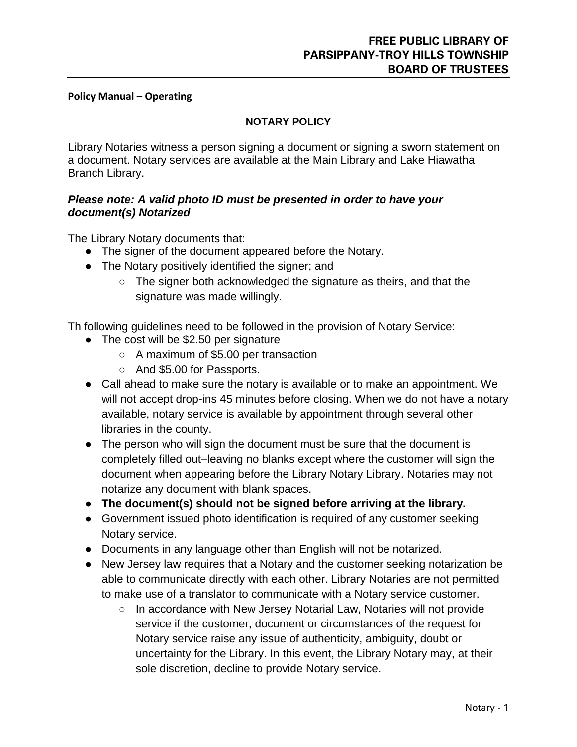## **Policy Manual – Operating**

## **NOTARY POLICY**

Library Notaries witness a person signing a document or signing a sworn statement on a document. Notary services are available at the Main Library and Lake Hiawatha Branch Library.

## *Please note: A valid photo ID must be presented in order to have your document(s) Notarized*

The Library Notary documents that:

- The signer of the document appeared before the Notary.
- The Notary positively identified the signer; and
	- The signer both acknowledged the signature as theirs, and that the signature was made willingly.

Th following guidelines need to be followed in the provision of Notary Service:

- The cost will be \$2.50 per signature
	- A maximum of \$5.00 per transaction
	- And \$5.00 for Passports.
- Call ahead to make sure the notary is available or to make an appointment. We will not accept drop-ins 45 minutes before closing. When we do not have a notary available, notary service is available by appointment through several other libraries in the county.
- The person who will sign the document must be sure that the document is completely filled out–leaving no blanks except where the customer will sign the document when appearing before the Library Notary Library. Notaries may not notarize any document with blank spaces.
- **The document(s) should not be signed before arriving at the library.**
- Government issued photo identification is required of any customer seeking Notary service.
- Documents in any language other than English will not be notarized.
- New Jersey law requires that a Notary and the customer seeking notarization be able to communicate directly with each other. Library Notaries are not permitted to make use of a translator to communicate with a Notary service customer.
	- In accordance with New Jersey Notarial Law, Notaries will not provide service if the customer, document or circumstances of the request for Notary service raise any issue of authenticity, ambiguity, doubt or uncertainty for the Library. In this event, the Library Notary may, at their sole discretion, decline to provide Notary service.